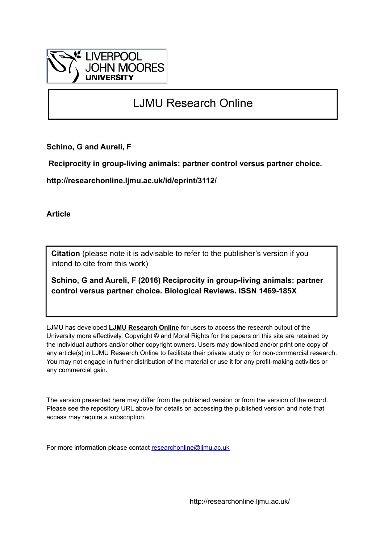

# LJMU Research Online

**Schino, G and Aureli, F**

 **Reciprocity in group-living animals: partner control versus partner choice.**

**http://researchonline.ljmu.ac.uk/id/eprint/3112/**

**Article**

**Citation** (please note it is advisable to refer to the publisher's version if you intend to cite from this work)

**Schino, G and Aureli, F (2016) Reciprocity in group-living animals: partner control versus partner choice. Biological Reviews. ISSN 1469-185X** 

LJMU has developed **[LJMU Research Online](http://researchonline.ljmu.ac.uk/)** for users to access the research output of the University more effectively. Copyright © and Moral Rights for the papers on this site are retained by the individual authors and/or other copyright owners. Users may download and/or print one copy of any article(s) in LJMU Research Online to facilitate their private study or for non-commercial research. You may not engage in further distribution of the material or use it for any profit-making activities or any commercial gain.

The version presented here may differ from the published version or from the version of the record. Please see the repository URL above for details on accessing the published version and note that access may require a subscription.

For more information please contact [researchonline@ljmu.ac.uk](mailto:researchonline@ljmu.ac.uk)

http://researchonline.ljmu.ac.uk/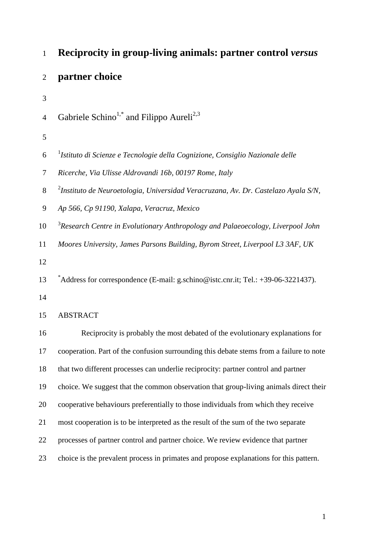| $\mathbf{1}$   | <b>Reciprocity in group-living animals: partner control versus</b>                             |  |  |
|----------------|------------------------------------------------------------------------------------------------|--|--|
| $\overline{2}$ | partner choice                                                                                 |  |  |
| 3              |                                                                                                |  |  |
| $\overline{4}$ | Gabriele Schino <sup>1,*</sup> and Filippo Aureli <sup>2,3</sup>                               |  |  |
| 5              |                                                                                                |  |  |
| 6              | <sup>1</sup> Istituto di Scienze e Tecnologie della Cognizione, Consiglio Nazionale delle      |  |  |
| 7              | Ricerche, Via Ulisse Aldrovandi 16b, 00197 Rome, Italy                                         |  |  |
| 8              | <sup>2</sup> Instituto de Neuroetologia, Universidad Veracruzana, Av. Dr. Castelazo Ayala S/N, |  |  |
| 9              | Ap 566, Cp 91190, Xalapa, Veracruz, Mexico                                                     |  |  |
| 10             | <sup>3</sup> Research Centre in Evolutionary Anthropology and Palaeoecology, Liverpool John    |  |  |
| 11             | Moores University, James Parsons Building, Byrom Street, Liverpool L3 3AF, UK                  |  |  |
| 12             |                                                                                                |  |  |
| 13             | $^*$ Address for correspondence (E-mail: g.schino@istc.cnr.it; Tel.: +39-06-3221437).          |  |  |
| 14             |                                                                                                |  |  |
| 15             | <b>ABSTRACT</b>                                                                                |  |  |
| 16             | Reciprocity is probably the most debated of the evolutionary explanations for                  |  |  |
| 17             | cooperation. Part of the confusion surrounding this debate stems from a failure to note        |  |  |
| 18             | that two different processes can underlie reciprocity: partner control and partner             |  |  |
| 19             | choice. We suggest that the common observation that group-living animals direct their          |  |  |
| 20             | cooperative behaviours preferentially to those individuals from which they receive             |  |  |
| 21             | most cooperation is to be interpreted as the result of the sum of the two separate             |  |  |
| 22             | processes of partner control and partner choice. We review evidence that partner               |  |  |
| 23             | choice is the prevalent process in primates and propose explanations for this pattern.         |  |  |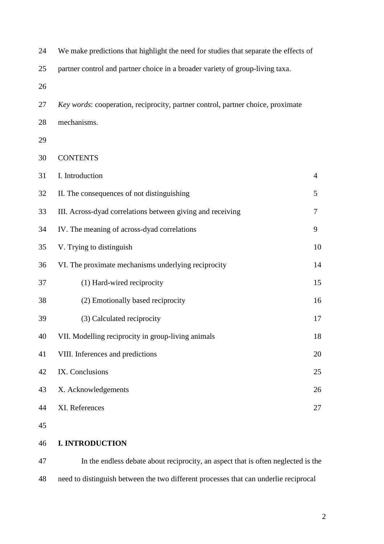| 24 | We make predictions that highlight the need for studies that separate the effects of |                |  |
|----|--------------------------------------------------------------------------------------|----------------|--|
| 25 | partner control and partner choice in a broader variety of group-living taxa.        |                |  |
| 26 |                                                                                      |                |  |
| 27 | Key words: cooperation, reciprocity, partner control, partner choice, proximate      |                |  |
| 28 | mechanisms.                                                                          |                |  |
| 29 |                                                                                      |                |  |
| 30 | <b>CONTENTS</b>                                                                      |                |  |
| 31 | I. Introduction                                                                      | $\overline{4}$ |  |
| 32 | II. The consequences of not distinguishing                                           | 5              |  |
| 33 | III. Across-dyad correlations between giving and receiving                           | $\tau$         |  |
| 34 | IV. The meaning of across-dyad correlations                                          | 9              |  |
| 35 | V. Trying to distinguish                                                             | 10             |  |
| 36 | VI. The proximate mechanisms underlying reciprocity                                  | 14             |  |
| 37 | (1) Hard-wired reciprocity                                                           | 15             |  |
| 38 | (2) Emotionally based reciprocity                                                    | 16             |  |
| 39 | (3) Calculated reciprocity                                                           | 17             |  |
| 40 | VII. Modelling reciprocity in group-living animals                                   | 18             |  |
| 41 | VIII. Inferences and predictions                                                     | 20             |  |
| 42 | IX. Conclusions                                                                      | 25             |  |
| 43 | X. Acknowledgements                                                                  | 26             |  |
| 44 | XI. References                                                                       | 27             |  |
| 45 |                                                                                      |                |  |
| 46 | <b>I. INTRODUCTION</b>                                                               |                |  |

 In the endless debate about reciprocity, an aspect that is often neglected is the need to distinguish between the two different processes that can underlie reciprocal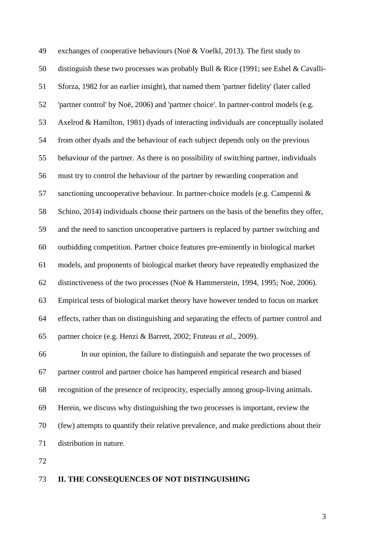exchanges of cooperative behaviours (Noë & Voelkl, 2013). The first study to distinguish these two processes was probably Bull & Rice (1991; see Eshel & Cavalli- Sforza, 1982 for an earlier insight), that named them 'partner fidelity' (later called 'partner control' by Noë, 2006) and 'partner choice'. In partner-control models (e.g. Axelrod & Hamilton, 1981) dyads of interacting individuals are conceptually isolated from other dyads and the behaviour of each subject depends only on the previous behaviour of the partner. As there is no possibility of switching partner, individuals must try to control the behaviour of the partner by rewarding cooperation and sanctioning uncooperative behaviour. In partner-choice models (e.g. Campennì & Schino, 2014) individuals choose their partners on the basis of the benefits they offer, and the need to sanction uncooperative partners is replaced by partner switching and outbidding competition. Partner choice features pre-eminently in biological market models, and proponents of biological market theory have repeatedly emphasized the distinctiveness of the two processes (Noë & Hammerstein, 1994, 1995; Noë, 2006). Empirical tests of biological market theory have however tended to focus on market effects, rather than on distinguishing and separating the effects of partner control and partner choice (e.g. Henzi & Barrett, 2002; Fruteau *et al.*, 2009). In our opinion, the failure to distinguish and separate the two processes of partner control and partner choice has hampered empirical research and biased recognition of the presence of reciprocity, especially among group-living animals. Herein, we discuss why distinguishing the two processes is important, review the (few) attempts to quantify their relative prevalence, and make predictions about their distribution in nature.

# **II. THE CONSEQUENCES OF NOT DISTINGUISHING**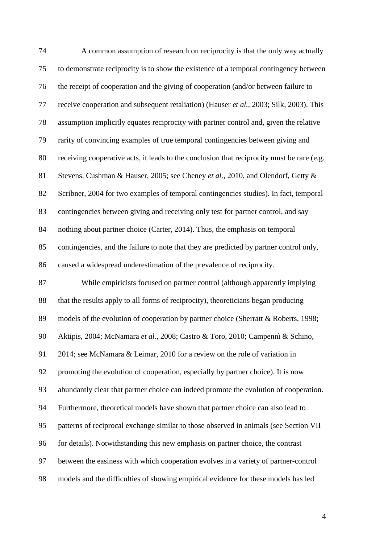| 74 | A common assumption of research on reciprocity is that the only way actually               |
|----|--------------------------------------------------------------------------------------------|
| 75 | to demonstrate reciprocity is to show the existence of a temporal contingency between      |
| 76 | the receipt of cooperation and the giving of cooperation (and/or between failure to        |
| 77 | receive cooperation and subsequent retaliation) (Hauser et al., 2003; Silk, 2003). This    |
| 78 | assumption implicitly equates reciprocity with partner control and, given the relative     |
| 79 | rarity of convincing examples of true temporal contingencies between giving and            |
| 80 | receiving cooperative acts, it leads to the conclusion that reciprocity must be rare (e.g. |
| 81 | Stevens, Cushman & Hauser, 2005; see Cheney et al., 2010, and Olendorf, Getty &            |
| 82 | Scribner, 2004 for two examples of temporal contingencies studies). In fact, temporal      |
| 83 | contingencies between giving and receiving only test for partner control, and say          |
| 84 | nothing about partner choice (Carter, 2014). Thus, the emphasis on temporal                |
| 85 | contingencies, and the failure to note that they are predicted by partner control only,    |
| 86 | caused a widespread underestimation of the prevalence of reciprocity.                      |
| 87 | While empiricists focused on partner control (although apparently implying                 |
| 88 | that the results apply to all forms of reciprocity), theoreticians began producing         |
| 89 | models of the evolution of cooperation by partner choice (Sherratt & Roberts, 1998;        |
| 90 | Aktipis, 2004; McNamara et al., 2008; Castro & Toro, 2010; Campennì & Schino,              |
| 91 | 2014; see McNamara & Leimar, 2010 for a review on the role of variation in                 |
| 92 | promoting the evolution of cooperation, especially by partner choice). It is now           |
| 93 | abundantly clear that partner choice can indeed promote the evolution of cooperation.      |
| 94 | Furthermore, theoretical models have shown that partner choice can also lead to            |
| 95 | patterns of reciprocal exchange similar to those observed in animals (see Section VII      |
| 96 | for details). Notwithstanding this new emphasis on partner choice, the contrast            |
| 97 | between the easiness with which cooperation evolves in a variety of partner-control        |
| 98 | models and the difficulties of showing empirical evidence for these models has led         |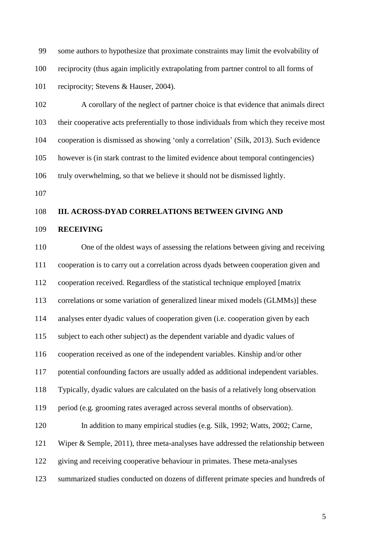some authors to hypothesize that proximate constraints may limit the evolvability of reciprocity (thus again implicitly extrapolating from partner control to all forms of 101 reciprocity; Stevens & Hauser, 2004).

 A corollary of the neglect of partner choice is that evidence that animals direct their cooperative acts preferentially to those individuals from which they receive most cooperation is dismissed as showing 'only a correlation' (Silk, 2013). Such evidence however is (in stark contrast to the limited evidence about temporal contingencies) truly overwhelming, so that we believe it should not be dismissed lightly.

## **III. ACROSS-DYAD CORRELATIONS BETWEEN GIVING AND**

### **RECEIVING**

 One of the oldest ways of assessing the relations between giving and receiving cooperation is to carry out a correlation across dyads between cooperation given and cooperation received. Regardless of the statistical technique employed [matrix correlations or some variation of generalized linear mixed models (GLMMs)] these analyses enter dyadic values of cooperation given (i.e. cooperation given by each subject to each other subject) as the dependent variable and dyadic values of cooperation received as one of the independent variables. Kinship and/or other potential confounding factors are usually added as additional independent variables. Typically, dyadic values are calculated on the basis of a relatively long observation period (e.g. grooming rates averaged across several months of observation). 120 In addition to many empirical studies (e.g. Silk, 1992; Watts, 2002; Carne, Wiper & Semple, 2011), three meta-analyses have addressed the relationship between giving and receiving cooperative behaviour in primates. These meta-analyses summarized studies conducted on dozens of different primate species and hundreds of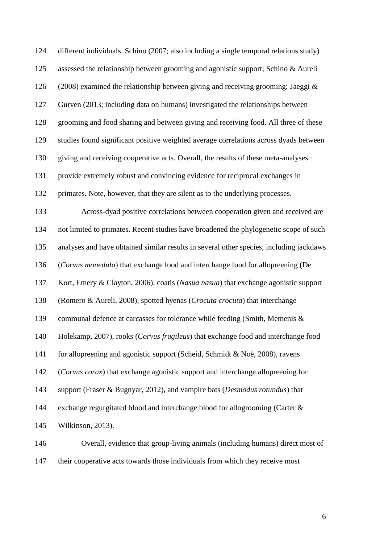| 124 | different individuals. Schino (2007; also including a single temporal relations study)  |
|-----|-----------------------------------------------------------------------------------------|
| 125 | assessed the relationship between grooming and agonistic support; Schino & Aureli       |
| 126 | (2008) examined the relationship between giving and receiving grooming; Jaeggi $\&$     |
| 127 | Gurven (2013; including data on humans) investigated the relationships between          |
| 128 | grooming and food sharing and between giving and receiving food. All three of these     |
| 129 | studies found significant positive weighted average correlations across dyads between   |
| 130 | giving and receiving cooperative acts. Overall, the results of these meta-analyses      |
| 131 | provide extremely robust and convincing evidence for reciprocal exchanges in            |
| 132 | primates. Note, however, that they are silent as to the underlying processes.           |
| 133 | Across-dyad positive correlations between cooperation given and received are            |
| 134 | not limited to primates. Recent studies have broadened the phylogenetic scope of such   |
| 135 | analyses and have obtained similar results in several other species, including jackdaws |
| 136 | (Corvus monedula) that exchange food and interchange food for allopreening (De          |
| 137 | Kort, Emery & Clayton, 2006), coatis (Nasua nasua) that exchange agonistic support      |
| 138 | (Romero & Aureli, 2008), spotted hyenas (Crocuta crocuta) that interchange              |
| 139 | communal defence at carcasses for tolerance while feeding (Smith, Memenis &             |
| 140 | Holekamp, 2007), rooks (Corvus frugileus) that exchange food and interchange food       |
| 141 | for allopreening and agonistic support (Scheid, Schmidt & Noë, 2008), ravens            |
| 142 | (Corvus corax) that exchange agonistic support and interchange allopreening for         |
| 143 | support (Fraser & Bugnyar, 2012), and vampire bats (Desmodus rotundus) that             |
| 144 | exchange regurgitated blood and interchange blood for allogrooming (Carter &            |
| 145 | Wilkinson, 2013).                                                                       |
| 146 | Overall, evidence that group-living animals (including humans) direct most of           |

their cooperative acts towards those individuals from which they receive most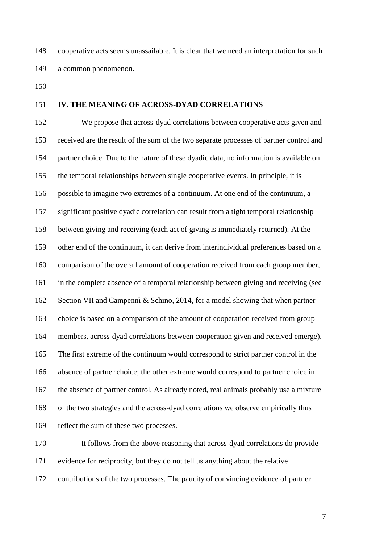cooperative acts seems unassailable. It is clear that we need an interpretation for such a common phenomenon.

# **IV. THE MEANING OF ACROSS-DYAD CORRELATIONS**

 We propose that across-dyad correlations between cooperative acts given and received are the result of the sum of the two separate processes of partner control and partner choice. Due to the nature of these dyadic data, no information is available on the temporal relationships between single cooperative events. In principle, it is possible to imagine two extremes of a continuum. At one end of the continuum, a significant positive dyadic correlation can result from a tight temporal relationship between giving and receiving (each act of giving is immediately returned). At the other end of the continuum, it can derive from interindividual preferences based on a comparison of the overall amount of cooperation received from each group member, in the complete absence of a temporal relationship between giving and receiving (see Section VII and Campennì & Schino, 2014, for a model showing that when partner choice is based on a comparison of the amount of cooperation received from group members, across-dyad correlations between cooperation given and received emerge). The first extreme of the continuum would correspond to strict partner control in the absence of partner choice; the other extreme would correspond to partner choice in the absence of partner control. As already noted, real animals probably use a mixture of the two strategies and the across-dyad correlations we observe empirically thus reflect the sum of these two processes.

 It follows from the above reasoning that across-dyad correlations do provide evidence for reciprocity, but they do not tell us anything about the relative contributions of the two processes. The paucity of convincing evidence of partner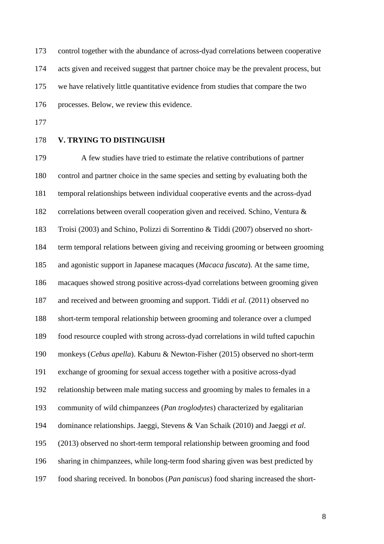control together with the abundance of across-dyad correlations between cooperative acts given and received suggest that partner choice may be the prevalent process, but we have relatively little quantitative evidence from studies that compare the two processes. Below, we review this evidence.

- 
- **V. TRYING TO DISTINGUISH**

 A few studies have tried to estimate the relative contributions of partner control and partner choice in the same species and setting by evaluating both the temporal relationships between individual cooperative events and the across-dyad correlations between overall cooperation given and received. Schino, Ventura & Troisi (2003) and Schino, Polizzi di Sorrentino & Tiddi (2007) observed no short- term temporal relations between giving and receiving grooming or between grooming and agonistic support in Japanese macaques (*Macaca fuscata*). At the same time, macaques showed strong positive across-dyad correlations between grooming given and received and between grooming and support. Tiddi *et al.* (2011) observed no short-term temporal relationship between grooming and tolerance over a clumped food resource coupled with strong across-dyad correlations in wild tufted capuchin monkeys (*Cebus apella*). Kaburu & Newton-Fisher (2015) observed no short-term exchange of grooming for sexual access together with a positive across-dyad relationship between male mating success and grooming by males to females in a community of wild chimpanzees (*Pan troglodytes*) characterized by egalitarian dominance relationships. Jaeggi, Stevens & Van Schaik (2010) and Jaeggi *et al*. (2013) observed no short-term temporal relationship between grooming and food sharing in chimpanzees, while long-term food sharing given was best predicted by food sharing received. In bonobos (*Pan paniscus*) food sharing increased the short-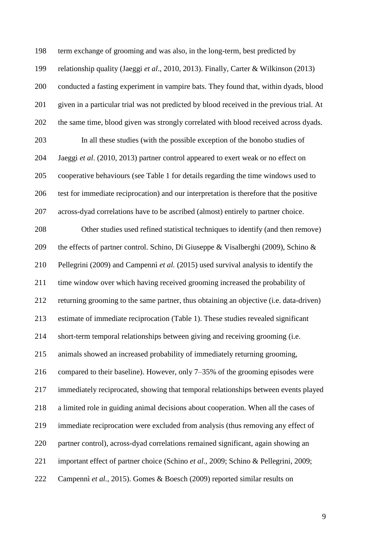term exchange of grooming and was also, in the long-term, best predicted by relationship quality (Jaeggi *et al*., 2010, 2013). Finally, Carter & Wilkinson (2013) conducted a fasting experiment in vampire bats. They found that, within dyads, blood given in a particular trial was not predicted by blood received in the previous trial. At the same time, blood given was strongly correlated with blood received across dyads. In all these studies (with the possible exception of the bonobo studies of Jaeggi *et al*. (2010, 2013) partner control appeared to exert weak or no effect on cooperative behaviours (see Table 1 for details regarding the time windows used to test for immediate reciprocation) and our interpretation is therefore that the positive across-dyad correlations have to be ascribed (almost) entirely to partner choice. Other studies used refined statistical techniques to identify (and then remove) the effects of partner control. Schino, Di Giuseppe & Visalberghi (2009), Schino & Pellegrini (2009) and Campennì *et al.* (2015) used survival analysis to identify the time window over which having received grooming increased the probability of returning grooming to the same partner, thus obtaining an objective (i.e. data-driven) estimate of immediate reciprocation (Table 1). These studies revealed significant short-term temporal relationships between giving and receiving grooming (i.e. animals showed an increased probability of immediately returning grooming, compared to their baseline). However, only 7–35% of the grooming episodes were immediately reciprocated, showing that temporal relationships between events played a limited role in guiding animal decisions about cooperation. When all the cases of immediate reciprocation were excluded from analysis (thus removing any effect of partner control), across-dyad correlations remained significant, again showing an important effect of partner choice (Schino *et al.*, 2009; Schino & Pellegrini, 2009; Campennì *et al.*, 2015). Gomes & Boesch (2009) reported similar results on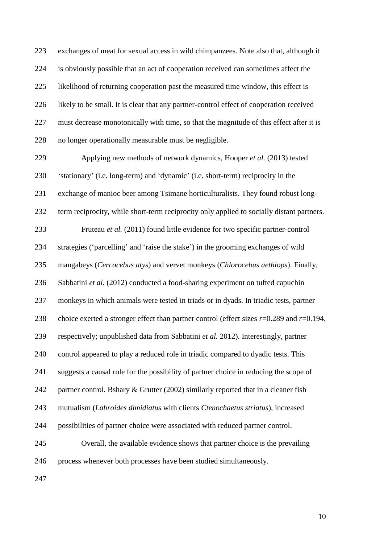exchanges of meat for sexual access in wild chimpanzees. Note also that, although it is obviously possible that an act of cooperation received can sometimes affect the likelihood of returning cooperation past the measured time window, this effect is likely to be small. It is clear that any partner-control effect of cooperation received must decrease monotonically with time, so that the magnitude of this effect after it is no longer operationally measurable must be negligible.

 Applying new methods of network dynamics, Hooper *et al.* (2013) tested 'stationary' (i.e. long-term) and 'dynamic' (i.e. short-term) reciprocity in the exchange of manioc beer among Tsimane horticulturalists. They found robust long- term reciprocity, while short-term reciprocity only applied to socially distant partners. Fruteau *et al.* (2011) found little evidence for two specific partner-control strategies ('parcelling' and 'raise the stake') in the grooming exchanges of wild mangabeys (*Cercocebus atys*) and vervet monkeys (*Chlorocebus aethiops*). Finally, Sabbatini *et al.* (2012) conducted a food-sharing experiment on tufted capuchin monkeys in which animals were tested in triads or in dyads. In triadic tests, partner choice exerted a stronger effect than partner control (effect sizes *r*=0.289 and *r*=0.194, respectively; unpublished data from Sabbatini *et al.* 2012). Interestingly, partner control appeared to play a reduced role in triadic compared to dyadic tests. This suggests a causal role for the possibility of partner choice in reducing the scope of 242 partner control. Bshary & Grutter (2002) similarly reported that in a cleaner fish mutualism (*Labroides dimidiatus* with clients *Ctenochaetus striatus*), increased possibilities of partner choice were associated with reduced partner control. Overall, the available evidence shows that partner choice is the prevailing process whenever both processes have been studied simultaneously.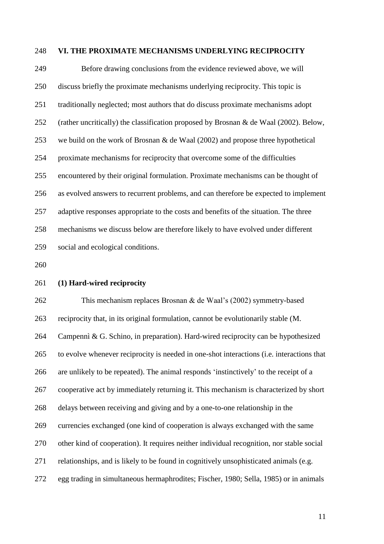#### **VI. THE PROXIMATE MECHANISMS UNDERLYING RECIPROCITY**

 Before drawing conclusions from the evidence reviewed above, we will discuss briefly the proximate mechanisms underlying reciprocity. This topic is traditionally neglected; most authors that do discuss proximate mechanisms adopt (rather uncritically) the classification proposed by Brosnan & de Waal (2002). Below, we build on the work of Brosnan & de Waal (2002) and propose three hypothetical proximate mechanisms for reciprocity that overcome some of the difficulties encountered by their original formulation. Proximate mechanisms can be thought of as evolved answers to recurrent problems, and can therefore be expected to implement adaptive responses appropriate to the costs and benefits of the situation. The three mechanisms we discuss below are therefore likely to have evolved under different social and ecological conditions.

**(1) Hard-wired reciprocity**

 This mechanism replaces Brosnan & de Waal's (2002) symmetry-based reciprocity that, in its original formulation, cannot be evolutionarily stable (M. Campennì & G. Schino, in preparation). Hard-wired reciprocity can be hypothesized to evolve whenever reciprocity is needed in one-shot interactions (i.e. interactions that are unlikely to be repeated). The animal responds 'instinctively' to the receipt of a cooperative act by immediately returning it. This mechanism is characterized by short delays between receiving and giving and by a one-to-one relationship in the currencies exchanged (one kind of cooperation is always exchanged with the same other kind of cooperation). It requires neither individual recognition, nor stable social relationships, and is likely to be found in cognitively unsophisticated animals (e.g. egg trading in simultaneous hermaphrodites; Fischer, 1980; Sella, 1985) or in animals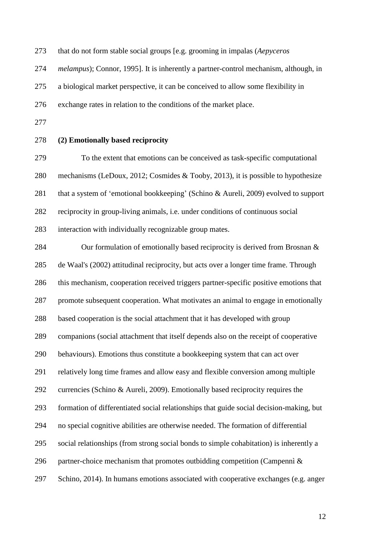that do not form stable social groups [e.g. grooming in impalas (*Aepyceros* 

*melampus*); Connor, 1995]. It is inherently a partner-control mechanism, although, in

a biological market perspective, it can be conceived to allow some flexibility in

exchange rates in relation to the conditions of the market place.

# **(2) Emotionally based reciprocity**

 To the extent that emotions can be conceived as task-specific computational mechanisms (LeDoux, 2012; Cosmides & Tooby, 2013), it is possible to hypothesize 281 that a system of 'emotional bookkeeping' (Schino & Aureli, 2009) evolved to support reciprocity in group-living animals, i.e. under conditions of continuous social interaction with individually recognizable group mates.

284 Our formulation of emotionally based reciprocity is derived from Brosnan & de Waal's (2002) attitudinal reciprocity, but acts over a longer time frame. Through this mechanism, cooperation received triggers partner-specific positive emotions that promote subsequent cooperation. What motivates an animal to engage in emotionally based cooperation is the social attachment that it has developed with group companions (social attachment that itself depends also on the receipt of cooperative behaviours). Emotions thus constitute a bookkeeping system that can act over relatively long time frames and allow easy and flexible conversion among multiple currencies (Schino & Aureli, 2009). Emotionally based reciprocity requires the formation of differentiated social relationships that guide social decision-making, but no special cognitive abilities are otherwise needed. The formation of differential social relationships (from strong social bonds to simple cohabitation) is inherently a 296 partner-choice mechanism that promotes outbidding competition (Campennì  $\&$ Schino, 2014). In humans emotions associated with cooperative exchanges (e.g. anger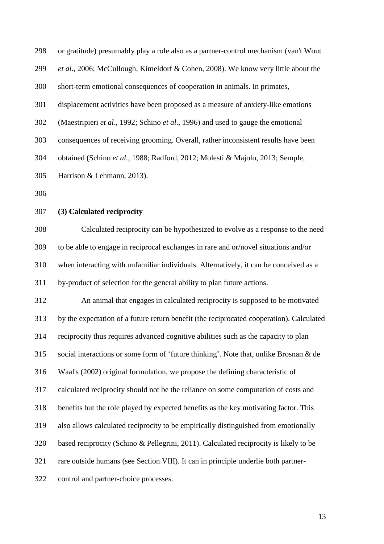| 298 | or gratitude) presumably play a role also as a partner-control mechanism (van't Wout     |
|-----|------------------------------------------------------------------------------------------|
| 299 | et al., 2006; McCullough, Kimeldorf & Cohen, 2008). We know very little about the        |
| 300 | short-term emotional consequences of cooperation in animals. In primates,                |
| 301 | displacement activities have been proposed as a measure of anxiety-like emotions         |
| 302 | (Maestripieri et al., 1992; Schino et al., 1996) and used to gauge the emotional         |
| 303 | consequences of receiving grooming. Overall, rather inconsistent results have been       |
| 304 | obtained (Schino et al., 1988; Radford, 2012; Molesti & Majolo, 2013; Semple,            |
| 305 | Harrison & Lehmann, 2013).                                                               |
| 306 |                                                                                          |
| 307 | (3) Calculated reciprocity                                                               |
| 308 | Calculated reciprocity can be hypothesized to evolve as a response to the need           |
| 309 | to be able to engage in reciprocal exchanges in rare and or/novel situations and/or      |
| 310 | when interacting with unfamiliar individuals. Alternatively, it can be conceived as a    |
| 311 | by-product of selection for the general ability to plan future actions.                  |
| 312 | An animal that engages in calculated reciprocity is supposed to be motivated             |
| 313 | by the expectation of a future return benefit (the reciprocated cooperation). Calculated |
| 314 | reciprocity thus requires advanced cognitive abilities such as the capacity to plan      |
| 315 | social interactions or some form of 'future thinking'. Note that, unlike Brosnan & de    |
| 316 | Waal's (2002) original formulation, we propose the defining characteristic of            |
| 317 | calculated reciprocity should not be the reliance on some computation of costs and       |
| 318 | benefits but the role played by expected benefits as the key motivating factor. This     |
| 319 | also allows calculated reciprocity to be empirically distinguished from emotionally      |
| 320 | based reciprocity (Schino & Pellegrini, 2011). Calculated reciprocity is likely to be    |
| 321 | rare outside humans (see Section VIII). It can in principle underlie both partner-       |
| 322 | control and partner-choice processes.                                                    |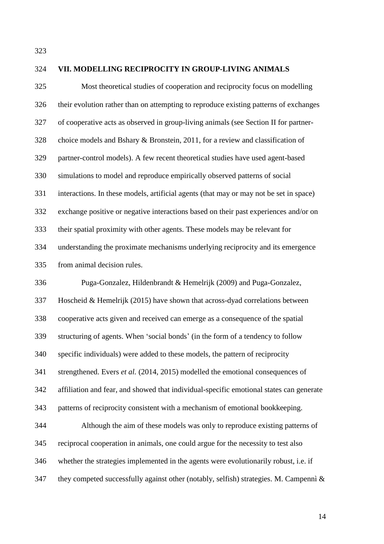# **VII. MODELLING RECIPROCITY IN GROUP-LIVING ANIMALS** Most theoretical studies of cooperation and reciprocity focus on modelling their evolution rather than on attempting to reproduce existing patterns of exchanges of cooperative acts as observed in group-living animals (see Section II for partner- choice models and Bshary & Bronstein, 2011, for a review and classification of partner-control models). A few recent theoretical studies have used agent-based simulations to model and reproduce empirically observed patterns of social interactions. In these models, artificial agents (that may or may not be set in space) exchange positive or negative interactions based on their past experiences and/or on their spatial proximity with other agents. These models may be relevant for understanding the proximate mechanisms underlying reciprocity and its emergence from animal decision rules. Puga-Gonzalez, Hildenbrandt & Hemelrijk (2009) and Puga-Gonzalez, Hoscheid & Hemelrijk (2015) have shown that across-dyad correlations between cooperative acts given and received can emerge as a consequence of the spatial structuring of agents. When 'social bonds' (in the form of a tendency to follow specific individuals) were added to these models, the pattern of reciprocity strengthened. Evers *et al.* (2014, 2015) modelled the emotional consequences of affiliation and fear, and showed that individual-specific emotional states can generate patterns of reciprocity consistent with a mechanism of emotional bookkeeping. Although the aim of these models was only to reproduce existing patterns of reciprocal cooperation in animals, one could argue for the necessity to test also whether the strategies implemented in the agents were evolutionarily robust, i.e. if 347 they competed successfully against other (notably, selfish) strategies. M. Campennì  $\&$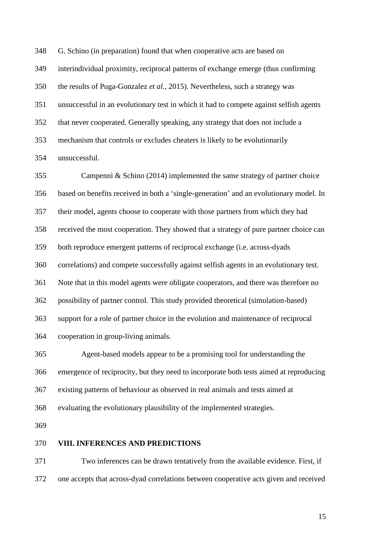G. Schino (in preparation) found that when cooperative acts are based on

interindividual proximity, reciprocal patterns of exchange emerge (thus confirming

the results of Puga-Gonzalez *et al.*, 2015). Nevertheless, such a strategy was

unsuccessful in an evolutionary test in which it had to compete against selfish agents

that never cooperated. Generally speaking, any strategy that does not include a

mechanism that controls or excludes cheaters is likely to be evolutionarily

unsuccessful.

 Campennì & Schino (2014) implemented the same strategy of partner choice based on benefits received in both a 'single-generation' and an evolutionary model. In their model, agents choose to cooperate with those partners from which they had received the most cooperation. They showed that a strategy of pure partner choice can both reproduce emergent patterns of reciprocal exchange (i.e. across-dyads correlations) and compete successfully against selfish agents in an evolutionary test. Note that in this model agents were obligate cooperators, and there was therefore no possibility of partner control. This study provided theoretical (simulation-based) support for a role of partner choice in the evolution and maintenance of reciprocal cooperation in group-living animals.

 Agent-based models appear to be a promising tool for understanding the emergence of reciprocity, but they need to incorporate both tests aimed at reproducing existing patterns of behaviour as observed in real animals and tests aimed at evaluating the evolutionary plausibility of the implemented strategies.

# **VIII. INFERENCES AND PREDICTIONS**

 Two inferences can be drawn tentatively from the available evidence. First, if one accepts that across-dyad correlations between cooperative acts given and received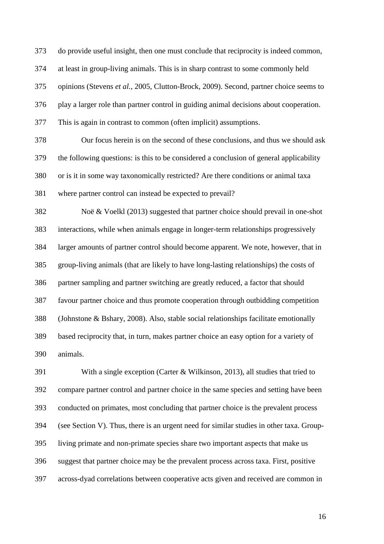do provide useful insight, then one must conclude that reciprocity is indeed common, at least in group-living animals. This is in sharp contrast to some commonly held opinions (Stevens *et al.*, 2005, Clutton-Brock, 2009). Second, partner choice seems to play a larger role than partner control in guiding animal decisions about cooperation. This is again in contrast to common (often implicit) assumptions.

 Our focus herein is on the second of these conclusions, and thus we should ask the following questions: is this to be considered a conclusion of general applicability or is it in some way taxonomically restricted? Are there conditions or animal taxa where partner control can instead be expected to prevail?

 Noë & Voelkl (2013) suggested that partner choice should prevail in one-shot interactions, while when animals engage in longer-term relationships progressively larger amounts of partner control should become apparent. We note, however, that in group-living animals (that are likely to have long-lasting relationships) the costs of partner sampling and partner switching are greatly reduced, a factor that should favour partner choice and thus promote cooperation through outbidding competition (Johnstone & Bshary, 2008). Also, stable social relationships facilitate emotionally based reciprocity that, in turn, makes partner choice an easy option for a variety of animals.

 With a single exception (Carter & Wilkinson, 2013), all studies that tried to compare partner control and partner choice in the same species and setting have been conducted on primates, most concluding that partner choice is the prevalent process (see Section V). Thus, there is an urgent need for similar studies in other taxa. Group- living primate and non-primate species share two important aspects that make us suggest that partner choice may be the prevalent process across taxa. First, positive across-dyad correlations between cooperative acts given and received are common in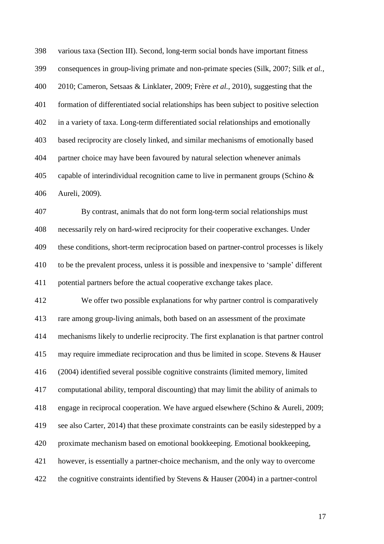various taxa (Section III). Second, long-term social bonds have important fitness consequences in group-living primate and non-primate species (Silk, 2007; Silk *et al.*, 2010; Cameron, Setsaas & Linklater, 2009; Frère *et al.*, 2010), suggesting that the formation of differentiated social relationships has been subject to positive selection in a variety of taxa. Long-term differentiated social relationships and emotionally based reciprocity are closely linked, and similar mechanisms of emotionally based partner choice may have been favoured by natural selection whenever animals capable of interindividual recognition came to live in permanent groups (Schino & Aureli, 2009).

 By contrast, animals that do not form long-term social relationships must necessarily rely on hard-wired reciprocity for their cooperative exchanges. Under these conditions, short-term reciprocation based on partner-control processes is likely to be the prevalent process, unless it is possible and inexpensive to 'sample' different potential partners before the actual cooperative exchange takes place.

 We offer two possible explanations for why partner control is comparatively rare among group-living animals, both based on an assessment of the proximate mechanisms likely to underlie reciprocity. The first explanation is that partner control may require immediate reciprocation and thus be limited in scope. Stevens & Hauser (2004) identified several possible cognitive constraints (limited memory, limited computational ability, temporal discounting) that may limit the ability of animals to engage in reciprocal cooperation. We have argued elsewhere (Schino & Aureli, 2009; see also Carter, 2014) that these proximate constraints can be easily sidestepped by a proximate mechanism based on emotional bookkeeping. Emotional bookkeeping, however, is essentially a partner-choice mechanism, and the only way to overcome the cognitive constraints identified by Stevens & Hauser (2004) in a partner-control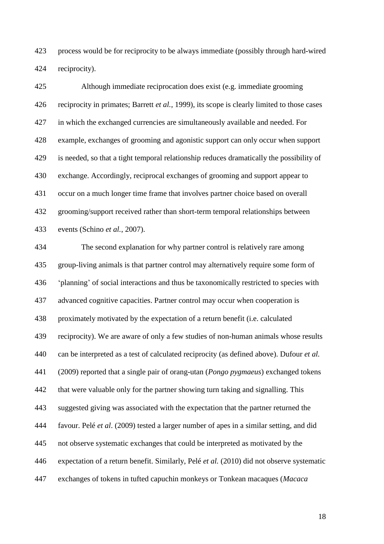process would be for reciprocity to be always immediate (possibly through hard-wired reciprocity).

 Although immediate reciprocation does exist (e.g. immediate grooming reciprocity in primates; Barrett *et al.*, 1999), its scope is clearly limited to those cases in which the exchanged currencies are simultaneously available and needed. For example, exchanges of grooming and agonistic support can only occur when support is needed, so that a tight temporal relationship reduces dramatically the possibility of exchange. Accordingly, reciprocal exchanges of grooming and support appear to occur on a much longer time frame that involves partner choice based on overall grooming/support received rather than short-term temporal relationships between events (Schino *et al.*, 2007).

 The second explanation for why partner control is relatively rare among group-living animals is that partner control may alternatively require some form of 'planning' of social interactions and thus be taxonomically restricted to species with advanced cognitive capacities. Partner control may occur when cooperation is proximately motivated by the expectation of a return benefit (i.e. calculated reciprocity). We are aware of only a few studies of non-human animals whose results can be interpreted as a test of calculated reciprocity (as defined above). Dufour *et al.* (2009) reported that a single pair of orang-utan (*Pongo pygmaeus*) exchanged tokens that were valuable only for the partner showing turn taking and signalling. This suggested giving was associated with the expectation that the partner returned the favour. Pelé *et al*. (2009) tested a larger number of apes in a similar setting, and did not observe systematic exchanges that could be interpreted as motivated by the expectation of a return benefit. Similarly, Pelé *et al.* (2010) did not observe systematic exchanges of tokens in tufted capuchin monkeys or Tonkean macaques (*Macaca*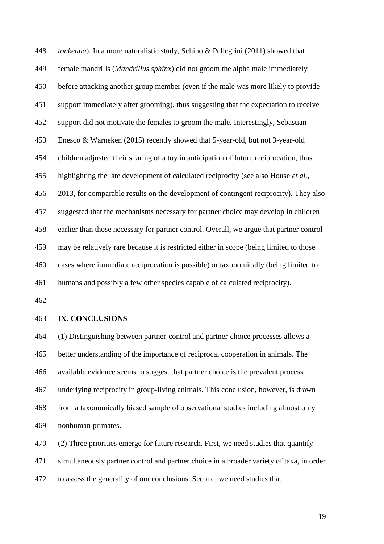*tonkeana*). In a more naturalistic study, Schino & Pellegrini (2011) showed that female mandrills (*Mandrillus sphinx*) did not groom the alpha male immediately before attacking another group member (even if the male was more likely to provide support immediately after grooming), thus suggesting that the expectation to receive support did not motivate the females to groom the male. Interestingly, Sebastian- Enesco & Warneken (2015) recently showed that 5-year-old, but not 3-year-old children adjusted their sharing of a toy in anticipation of future reciprocation, thus highlighting the late development of calculated reciprocity (see also House *et al.*, 2013, for comparable results on the development of contingent reciprocity). They also suggested that the mechanisms necessary for partner choice may develop in children earlier than those necessary for partner control. Overall, we argue that partner control may be relatively rare because it is restricted either in scope (being limited to those cases where immediate reciprocation is possible) or taxonomically (being limited to humans and possibly a few other species capable of calculated reciprocity).

# **IX. CONCLUSIONS**

 (1) Distinguishing between partner-control and partner-choice processes allows a better understanding of the importance of reciprocal cooperation in animals. The available evidence seems to suggest that partner choice is the prevalent process underlying reciprocity in group-living animals. This conclusion, however, is drawn from a taxonomically biased sample of observational studies including almost only nonhuman primates.

(2) Three priorities emerge for future research. First, we need studies that quantify

simultaneously partner control and partner choice in a broader variety of taxa, in order

to assess the generality of our conclusions. Second, we need studies that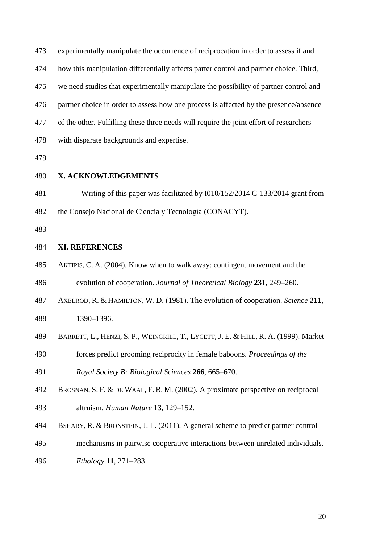| 473 | experimentally manipulate the occurrence of reciprocation in order to assess if and     |
|-----|-----------------------------------------------------------------------------------------|
| 474 | how this manipulation differentially affects parter control and partner choice. Third,  |
| 475 | we need studies that experimentally manipulate the possibility of partner control and   |
| 476 | partner choice in order to assess how one process is affected by the presence/absence   |
| 477 | of the other. Fulfilling these three needs will require the joint effort of researchers |
| 478 | with disparate backgrounds and expertise.                                               |
| 479 |                                                                                         |
| 480 | X. ACKNOWLEDGEMENTS                                                                     |
| 481 | Writing of this paper was facilitated by I010/152/2014 C-133/2014 grant from            |
| 482 | the Consejo Nacional de Ciencia y Tecnología (CONACYT).                                 |
| 483 |                                                                                         |
| 484 | <b>XI. REFERENCES</b>                                                                   |
| 485 | AKTIPIS, C. A. (2004). Know when to walk away: contingent movement and the              |
| 486 | evolution of cooperation. Journal of Theoretical Biology 231, 249–260.                  |
| 487 | AXELROD, R. & HAMILTON, W. D. (1981). The evolution of cooperation. Science 211,        |
| 488 | 1390-1396.                                                                              |
| 489 | BARRETT, L., HENZI, S. P., WEINGRILL, T., LYCETT, J. E. & HILL, R. A. (1999). Market    |
| 490 | forces predict grooming reciprocity in female baboons. Proceedings of the               |
| 491 | Royal Society B: Biological Sciences 266, 665-670.                                      |
| 492 | BROSNAN, S. F. & DE WAAL, F. B. M. (2002). A proximate perspective on reciprocal        |

- altruism. *Human Nature* **13**, 129–152.
- BSHARY, R. & BRONSTEIN, J. L. (2011). A general scheme to predict partner control
- mechanisms in pairwise cooperative interactions between unrelated individuals.
- *Ethology* **11**, 271–283.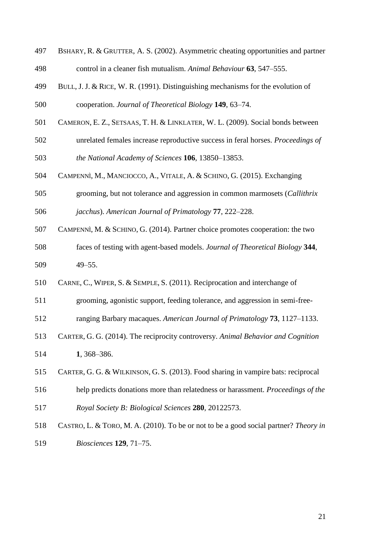| 497 | BSHARY, R. & GRUTTER, A. S. (2002). Asymmetric cheating opportunities and partner    |
|-----|--------------------------------------------------------------------------------------|
| 498 | control in a cleaner fish mutualism. Animal Behaviour 63, 547–555.                   |
| 499 | BULL, J. J. & RICE, W. R. (1991). Distinguishing mechanisms for the evolution of     |
| 500 | cooperation. Journal of Theoretical Biology 149, 63-74.                              |
| 501 | CAMERON, E. Z., SETSAAS, T. H. & LINKLATER, W. L. (2009). Social bonds between       |
| 502 | unrelated females increase reproductive success in feral horses. Proceedings of      |
| 503 | the National Academy of Sciences 106, 13850-13853.                                   |
| 504 | CAMPENNÌ, M., MANCIOCCO, A., VITALE, A. & SCHINO, G. (2015). Exchanging              |
| 505 | grooming, but not tolerance and aggression in common marmosets (Callithrix           |
| 506 | jacchus). American Journal of Primatology 77, 222-228.                               |
| 507 | CAMPENNÌ, M. & SCHINO, G. (2014). Partner choice promotes cooperation: the two       |
| 508 | faces of testing with agent-based models. Journal of Theoretical Biology 344,        |
| 509 | $49 - 55$ .                                                                          |
| 510 | CARNE, C., WIPER, S. & SEMPLE, S. (2011). Reciprocation and interchange of           |
| 511 | grooming, agonistic support, feeding tolerance, and aggression in semi-free-         |
| 512 | ranging Barbary macaques. American Journal of Primatology 73, 1127–1133.             |
| 513 | CARTER, G. G. (2014). The reciprocity controversy. Animal Behavior and Cognition     |
| 514 | 1, 368-386.                                                                          |
| 515 | CARTER, G. G. & WILKINSON, G. S. (2013). Food sharing in vampire bats: reciprocal    |
| 516 | help predicts donations more than relatedness or harassment. Proceedings of the      |
| 517 | Royal Society B: Biological Sciences 280, 20122573.                                  |
| 518 | CASTRO, L. & TORO, M. A. (2010). To be or not to be a good social partner? Theory in |
| 519 | Biosciences 129, 71-75.                                                              |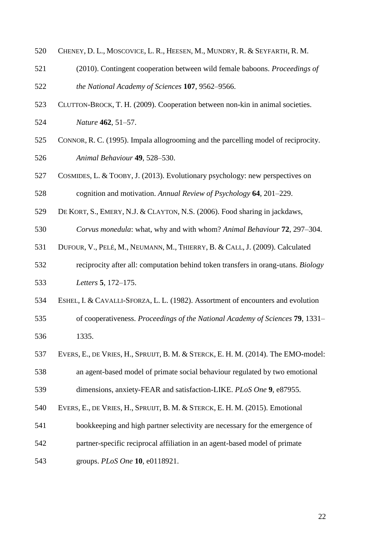- CHENEY, D. L., MOSCOVICE, L. R., HEESEN, M., MUNDRY, R. & SEYFARTH, R. M.
- (2010). Contingent cooperation between wild female baboons. *Proceedings of the National Academy of Sciences* **107**, 9562–9566.
- CLUTTON-BROCK, T. H. (2009). Cooperation between non-kin in animal societies. *Nature* **462**, 51–57.
- CONNOR, R. C. (1995). Impala allogrooming and the parcelling model of reciprocity. *Animal Behaviour* **49**, 528–530.
- COSMIDES, L. & TOOBY, J. (2013). Evolutionary psychology: new perspectives on cognition and motivation. *Annual Review of Psychology* **64**, 201–229.
- DE KORT, S., EMERY, N.J. & CLAYTON, N.S. (2006). Food sharing in jackdaws,
- *Corvus monedula*: what, why and with whom? *Animal Behaviour* **72**, 297–304.
- DUFOUR, V., PELÉ, M., NEUMANN, M., THIERRY, B. & CALL, J. (2009). Calculated
- reciprocity after all: computation behind token transfers in orang-utans. *Biology Letters* **5**, 172–175.
- ESHEL, I. & CAVALLI-SFORZA, L. L. (1982). Assortment of encounters and evolution of cooperativeness. *Proceedings of the National Academy of Sciences* **79**, 1331– 1335.
- EVERS, E., DE VRIES, H., SPRUIJT, B. M. & STERCK, E. H. M. (2014). The EMO-model:

 an agent-based model of primate social behaviour regulated by two emotional dimensions, anxiety-FEAR and satisfaction-LIKE. *PLoS One* **9**, e87955.

- EVERS, E., DE VRIES, H., SPRUIJT, B. M. & STERCK, E. H. M. (2015). Emotional
- bookkeeping and high partner selectivity are necessary for the emergence of
- partner-specific reciprocal affiliation in an agent-based model of primate
- groups. *PLoS One* **10**, e0118921.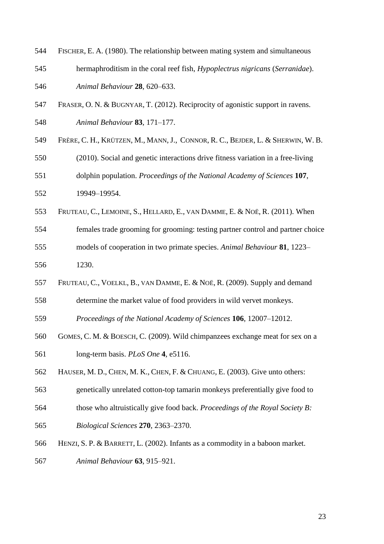FISCHER, E. A. (1980). The relationship between mating system and simultaneous hermaphroditism in the coral reef fish, *Hypoplectrus nigricans* (*Serranidae*). *Animal Behaviour* **28**, 620–633. FRASER, O. N. & BUGNYAR, T. (2012). Reciprocity of agonistic support in ravens. *Animal Behaviour* **83**, 171–177. FRÈRE, C. H., KRÜTZEN, M., MANN, J., CONNOR, R. C., BEJDER, L. & SHERWIN, W. B. (2010). Social and genetic interactions drive fitness variation in a free-living dolphin population. *Proceedings of the National Academy of Sciences* **107**, 19949–19954. FRUTEAU, C., LEMOINE, S., HELLARD, E., VAN DAMME, E. & NOË, R. (2011). When females trade grooming for grooming: testing partner control and partner choice models of cooperation in two primate species. *Animal Behaviour* **81**, 1223– 1230. FRUTEAU, C., VOELKL, B., VAN DAMME, E. & NOË, R. (2009). Supply and demand determine the market value of food providers in wild vervet monkeys. *Proceedings of the National Academy of Sciences* **106**, 12007–12012. GOMES, C. M. & BOESCH, C. (2009). Wild chimpanzees exchange meat for sex on a long-term basis. *PLoS One* **4**, e5116. HAUSER, M. D., CHEN, M. K., CHEN, F. & CHUANG, E. (2003). Give unto others: genetically unrelated cotton-top tamarin monkeys preferentially give food to those who altruistically give food back. *Proceedings of the Royal Society B: Biological Sciences* **270**, 2363–2370. HENZI, S. P. & BARRETT, L. (2002). Infants as a commodity in a baboon market. *Animal Behaviour* **63**, 915–921.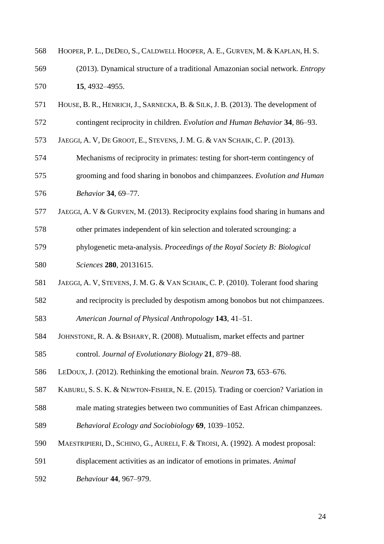- HOOPER, P. L., DEDEO, S., CALDWELL HOOPER, A. E., GURVEN, M. & KAPLAN, H. S.
- (2013). Dynamical structure of a traditional Amazonian social network. *Entropy* **15**, 4932–4955.
- HOUSE, B. R., HENRICH, J., SARNECKA, B. & SILK, J. B. (2013). The development of
- contingent reciprocity in children. *Evolution and Human Behavior* **34**, 86–93.
- JAEGGI, A. V, DE GROOT, E., STEVENS, J. M. G. & VAN SCHAIK, C. P. (2013).
- Mechanisms of reciprocity in primates: testing for short-term contingency of
- grooming and food sharing in bonobos and chimpanzees. *Evolution and Human Behavior* **34**, 69–77.
- JAEGGI, A. V & GURVEN, M. (2013). Reciprocity explains food sharing in humans and
- other primates independent of kin selection and tolerated scrounging: a
- phylogenetic meta-analysis. *Proceedings of the Royal Society B: Biological*
- *Sciences* **280**, 20131615.
- JAEGGI, A. V, STEVENS, J. M. G. & VAN SCHAIK, C. P. (2010). Tolerant food sharing
- and reciprocity is precluded by despotism among bonobos but not chimpanzees.
- *American Journal of Physical Anthropology* **143**, 41–51.
- JOHNSTONE, R. A. & BSHARY, R. (2008). Mutualism, market effects and partner
- control. *Journal of Evolutionary Biology* **21**, 879–88.
- LEDOUX, J. (2012). Rethinking the emotional brain. *Neuron* **73**, 653–676.
- KABURU, S. S. K. & NEWTON-FISHER, N. E. (2015). Trading or coercion? Variation in
- male mating strategies between two communities of East African chimpanzees.
- *Behavioral Ecology and Sociobiology* **69**, 1039–1052.
- MAESTRIPIERI, D., SCHINO, G., AURELI, F. & TROISI, A. (1992). A modest proposal:
- displacement activities as an indicator of emotions in primates. *Animal*
- *Behaviour* **44**, 967–979.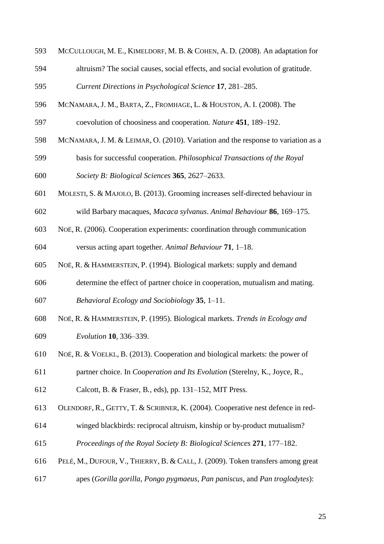- MCCULLOUGH, M. E., KIMELDORF, M. B. & COHEN, A. D. (2008). An adaptation for
- altruism? The social causes, social effects, and social evolution of gratitude.

```
595 Current Directions in Psychological Science 17, 281–285.
```
- MCNAMARA, J. M., BARTA, Z., FROMHAGE, L. & HOUSTON, A. I. (2008). The
- coevolution of choosiness and cooperation. *Nature* **451**, 189–192.
- MCNAMARA, J. M. & LEIMAR, O. (2010). Variation and the response to variation as a
- basis for successful cooperation. *Philosophical Transactions of the Royal Society B: Biological Sciences* **365**, 2627–2633.
- MOLESTI, S. & MAJOLO, B. (2013). Grooming increases self-directed behaviour in
- wild Barbary macaques, *Macaca sylvanus*. *Animal Behaviour* **86**, 169–175.
- NOË, R. (2006). Cooperation experiments: coordination through communication

versus acting apart together*. Animal Behaviour* **71**, 1–18.

- NOË, R. & HAMMERSTEIN, P. (1994). Biological markets: supply and demand
- determine the effect of partner choice in cooperation, mutualism and mating. *Behavioral Ecology and Sociobiology* **35**, 1–11.
- NOË, R. & HAMMERSTEIN, P. (1995). Biological markets. *Trends in Ecology and Evolution* **10**, 336–339.
- NOË, R. & VOELKL, B. (2013). Cooperation and biological markets: the power of
- partner choice. In *Cooperation and Its Evolution* (Sterelny, K., Joyce, R.,
- Calcott, B. & Fraser, B*.*, eds), pp. 131–152, MIT Press.
- OLENDORF, R., GETTY, T. & SCRIBNER, K. (2004). Cooperative nest defence in red-
- winged blackbirds: reciprocal altruism, kinship or by-product mutualism?
- *Proceedings of the Royal Society B: Biological Sciences* **271**, 177–182.
- PELÉ, M., DUFOUR, V., THIERRY, B. & CALL, J. (2009). Token transfers among great
- apes (*Gorilla gorilla*, *Pongo pygmaeus*, *Pan paniscus*, and *Pan troglodytes*):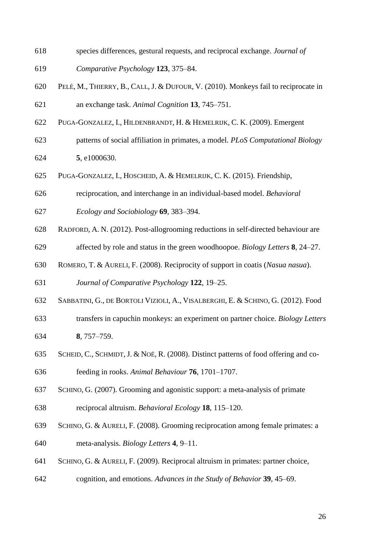- species differences, gestural requests, and reciprocal exchange. *Journal of*
- *Comparative Psychology* **123**, 375–84.
- PELÉ, M., THIERRY, B., CALL, J. & DUFOUR, V. (2010). Monkeys fail to reciprocate in an exchange task. *Animal Cognition* **13**, 745–751.
- PUGA-GONZALEZ, I., HILDENBRANDT, H. & HEMELRIJK, C. K. (2009). Emergent
- patterns of social affiliation in primates, a model. *PLoS Computational Biology*  **5**, e1000630.
- PUGA-GONZALEZ, I., HOSCHEID, A. & HEMELRIJK, C. K. (2015). Friendship,
- reciprocation, and interchange in an individual-based model. *Behavioral*
- *Ecology and Sociobiology* **69**, 383–394.
- RADFORD, A. N. (2012). Post-allogrooming reductions in self-directed behaviour are
- affected by role and status in the green woodhoopoe. *Biology Letters* **8**, 24–27.
- ROMERO, T. & AURELI, F. (2008). Reciprocity of support in coatis (*Nasua nasua*).

*Journal of Comparative Psychology* **122**, 19–25.

- SABBATINI, G., DE BORTOLI VIZIOLI, A., VISALBERGHI, E. & SCHINO, G. (2012). Food
- transfers in capuchin monkeys: an experiment on partner choice. *Biology Letters* **8**, 757–759.
- SCHEID, C., SCHMIDT, J. & NOË, R. (2008). Distinct patterns of food offering and co-
- feeding in rooks. *Animal Behaviour* **76**, 1701–1707.
- SCHINO, G. (2007). Grooming and agonistic support: a meta-analysis of primate
- reciprocal altruism. *Behavioral Ecology* **18**, 115–120.
- SCHINO, G. & AURELI, F. (2008). Grooming reciprocation among female primates: a meta-analysis. *Biology Letters* **4**, 9–11.
- SCHINO, G. & AURELI, F. (2009). Reciprocal altruism in primates: partner choice,
- cognition, and emotions. *Advances in the Study of Behavior* **39**, 45–69.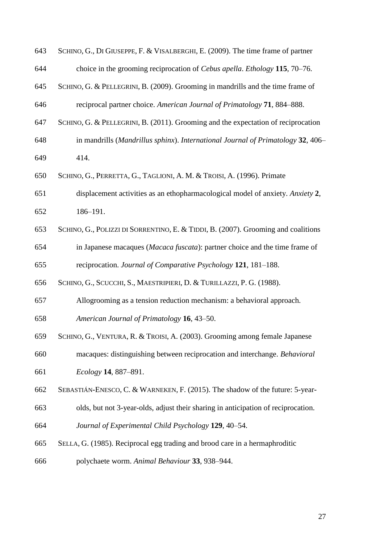| 643 | SCHINO, G., DI GIUSEPPE, F. & VISALBERGHI, E. (2009). The time frame of partner   |
|-----|-----------------------------------------------------------------------------------|
| 644 | choice in the grooming reciprocation of <i>Cebus apella. Ethology</i> 115, 70–76. |
| 645 | SCHINO, G. & PELLEGRINI, B. (2009). Grooming in mandrills and the time frame of   |
| 646 | reciprocal partner choice. American Journal of Primatology 71, 884–888.           |
| 647 | SCHINO, G. & PELLEGRINI, B. (2011). Grooming and the expectation of reciprocation |
| 648 | in mandrills (Mandrillus sphinx). International Journal of Primatology 32, 406–   |
| 649 | 414.                                                                              |
| 650 | SCHINO, G., PERRETTA, G., TAGLIONI, A. M. & TROISI, A. (1996). Primate            |
| 651 | displacement activities as an ethopharmacological model of anxiety. Anxiety 2,    |
| 652 | 186-191.                                                                          |
| 653 | SCHINO, G., POLIZZI DI SORRENTINO, E. & TIDDI, B. (2007). Grooming and coalitions |
| 654 | in Japanese macaques (Macaca fuscata): partner choice and the time frame of       |
| 655 | reciprocation. Journal of Comparative Psychology 121, 181-188.                    |
| 656 | SCHINO, G., SCUCCHI, S., MAESTRIPIERI, D. & TURILLAZZI, P. G. (1988).             |
| 657 | Allogrooming as a tension reduction mechanism: a behavioral approach.             |
| 658 | American Journal of Primatology 16, 43-50.                                        |
| 659 | SCHINO, G., VENTURA, R. & TROISI, A. (2003). Grooming among female Japanese       |
| 660 | macaques: distinguishing between reciprocation and interchange. Behavioral        |
| 661 | Ecology 14, 887-891.                                                              |
| 662 | SEBASTIÁN-ENESCO, C. & WARNEKEN, F. (2015). The shadow of the future: 5-year-     |
| 663 | olds, but not 3-year-olds, adjust their sharing in anticipation of reciprocation. |
| 664 | Journal of Experimental Child Psychology 129, 40-54.                              |
| 665 | SELLA, G. (1985). Reciprocal egg trading and brood care in a hermaphroditic       |
| 666 | polychaete worm. Animal Behaviour 33, 938-944.                                    |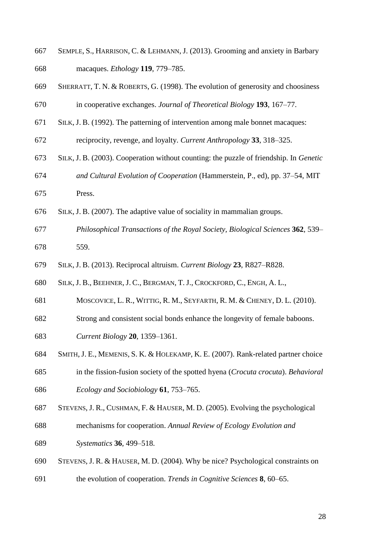- SEMPLE, S., HARRISON, C. & LEHMANN, J. (2013). Grooming and anxiety in Barbary macaques. *Ethology* **119**, 779–785.
- SHERRATT, T. N. & ROBERTS, G. (1998). The evolution of generosity and choosiness in cooperative exchanges. *Journal of Theoretical Biology* **193**, 167–77.
- SILK, J. B. (1992). The patterning of intervention among male bonnet macaques:
- reciprocity, revenge, and loyalty. *Current Anthropology* **33**, 318–325.
- SILK, J. B. (2003). Cooperation without counting: the puzzle of friendship. In *Genetic and Cultural Evolution of Cooperation* (Hammerstein, P., ed), pp. 37–54, MIT
- Press.
- SILK, J. B. (2007). The adaptive value of sociality in mammalian groups.
- *Philosophical Transactions of the Royal Society, Biological Sciences* **362**, 539– 559.
- SILK, J. B. (2013). Reciprocal altruism. *Current Biology* **23**, R827–R828.
- SILK, J. B., BEEHNER, J. C., BERGMAN, T. J., CROCKFORD, C., ENGH, A. L.,
- MOSCOVICE, L. R., WITTIG, R. M., SEYFARTH, R. M. & CHENEY, D. L. (2010).
- Strong and consistent social bonds enhance the longevity of female baboons.
- *Current Biology* **20**, 1359–1361.
- SMITH, J. E., MEMENIS, S. K. & HOLEKAMP, K. E. (2007). Rank-related partner choice
- in the fission-fusion society of the spotted hyena (*Crocuta crocuta*). *Behavioral Ecology and Sociobiology* **61**, 753–765.
- STEVENS, J. R., CUSHMAN, F. & HAUSER, M. D. (2005). Evolving the psychological
- mechanisms for cooperation. *Annual Review of Ecology Evolution and*
- *Systematics* **36**, 499–518.
- STEVENS, J. R. & HAUSER, M. D. (2004). Why be nice? Psychological constraints on
- the evolution of cooperation. *Trends in Cognitive Sciences* **8**, 60–65.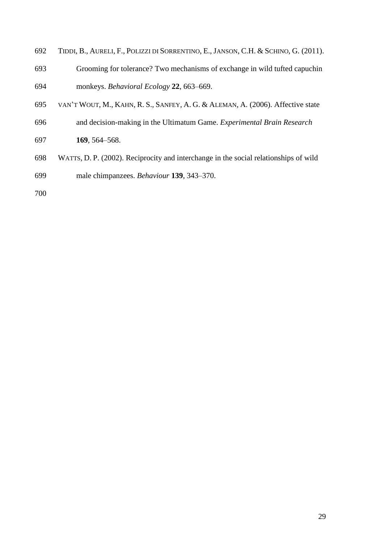- TIDDI, B., AURELI, F., POLIZZI DI SORRENTINO, E., JANSON, C.H. & SCHINO, G. (2011).
- Grooming for tolerance? Two mechanisms of exchange in wild tufted capuchin monkeys. *Behavioral Ecology* **22**, 663–669.
- VAN'T WOUT, M., KAHN, R. S., SANFEY, A. G. & ALEMAN, A. (2006). Affective state
- and decision-making in the Ultimatum Game. *Experimental Brain Research*
- **169**, 564–568.
- WATTS, D. P. (2002). Reciprocity and interchange in the social relationships of wild male chimpanzees. *Behaviour* **139**, 343–370.